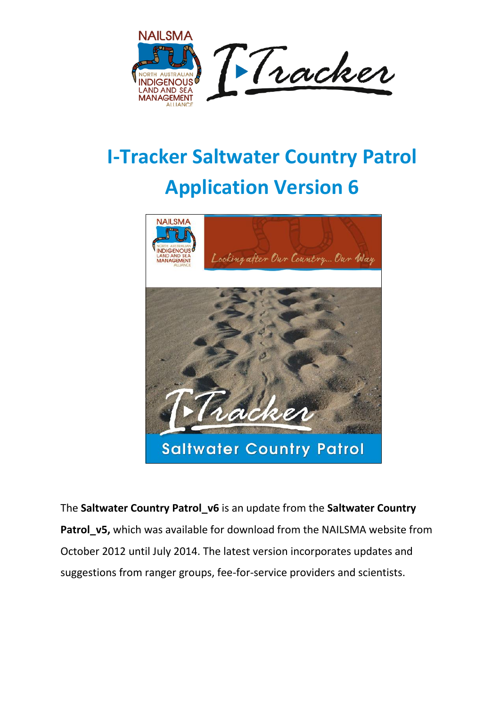

## **I-Tracker Saltwater Country Patrol Application Version 6**



The **Saltwater Country Patrol\_v6** is an update from the **Saltwater Country Patrol\_v5,** which was available for download from the NAILSMA website from October 2012 until July 2014. The latest version incorporates updates and suggestions from ranger groups, fee-for-service providers and scientists.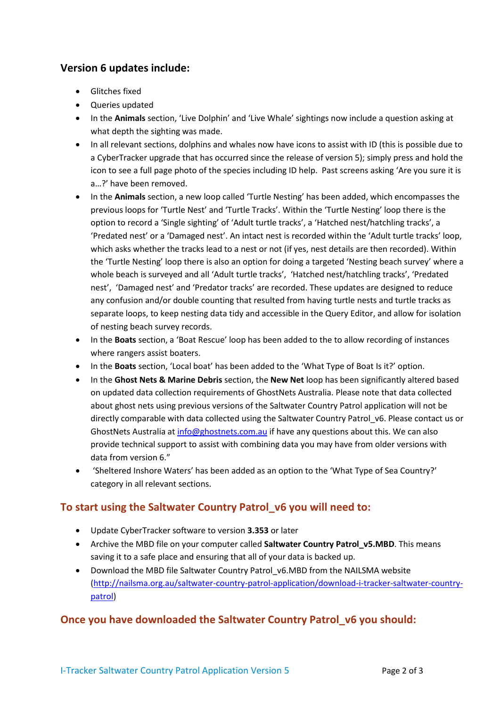## **Version 6 updates include:**

- Glitches fixed
- Queries updated
- In the **Animals** section, 'Live Dolphin' and 'Live Whale' sightings now include a question asking at what depth the sighting was made.
- In all relevant sections, dolphins and whales now have icons to assist with ID (this is possible due to a CyberTracker upgrade that has occurred since the release of version 5); simply press and hold the icon to see a full page photo of the species including ID help. Past screens asking 'Are you sure it is a…?' have been removed.
- In the **Animals** section, a new loop called 'Turtle Nesting' has been added, which encompasses the previous loops for 'Turtle Nest' and 'Turtle Tracks'. Within the 'Turtle Nesting' loop there is the option to record a 'Single sighting' of 'Adult turtle tracks', a 'Hatched nest/hatchling tracks', a 'Predated nest' or a 'Damaged nest'. An intact nest is recorded within the 'Adult turtle tracks' loop, which asks whether the tracks lead to a nest or not (if yes, nest details are then recorded). Within the 'Turtle Nesting' loop there is also an option for doing a targeted 'Nesting beach survey' where a whole beach is surveyed and all 'Adult turtle tracks', 'Hatched nest/hatchling tracks', 'Predated nest', 'Damaged nest' and 'Predator tracks' are recorded. These updates are designed to reduce any confusion and/or double counting that resulted from having turtle nests and turtle tracks as separate loops, to keep nesting data tidy and accessible in the Query Editor, and allow for isolation of nesting beach survey records.
- In the **Boats** section, a 'Boat Rescue' loop has been added to the to allow recording of instances where rangers assist boaters.
- In the **Boats** section, 'Local boat' has been added to the 'What Type of Boat Is it?' option.
- In the **Ghost Nets & Marine Debris** section, the **New Net** loop has been significantly altered based on updated data collection requirements of GhostNets Australia. Please note that data collected about ghost nets using previous versions of the Saltwater Country Patrol application will not be directly comparable with data collected using the Saltwater Country Patrol v6. Please contact us or GhostNets Australia at [info@ghostnets.com.au](mailto:info@ghostnets.com.au) if have any questions about this. We can also provide technical support to assist with combining data you may have from older versions with data from version 6."
- 'Sheltered Inshore Waters' has been added as an option to the 'What Type of Sea Country?' category in all relevant sections.

## **To start using the Saltwater Country Patrol\_v6 you will need to:**

- Update CyberTracker software to version **3.353** or later
- Archive the MBD file on your computer called **Saltwater Country Patrol\_v5.MBD**. This means saving it to a safe place and ensuring that all of your data is backed up.
- Download the MBD file Saltwater Country Patrol\_v6.MBD from the NAILSMA website [\(http://nailsma.org.au/saltwater-country-patrol-application/download-i-tracker-saltwater-country](http://nailsma.org.au/saltwater-country-patrol-application/download-i-tracker-saltwater-country-patrol)[patrol\)](http://nailsma.org.au/saltwater-country-patrol-application/download-i-tracker-saltwater-country-patrol)

## **Once you have downloaded the Saltwater Country Patrol\_v6 you should:**